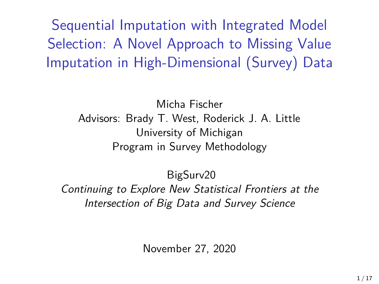Sequential Imputation with Integrated Model Selection: A Novel Approach to Missing Value Imputation in High-Dimensional (Survey) Data

> Micha Fischer Advisors: Brady T. West, Roderick J. A. Little University of Michigan Program in Survey Methodology

BigSurv20 Continuing to Explore New Statistical Frontiers at the Intersection of Big Data and Survey Science

November 27, 2020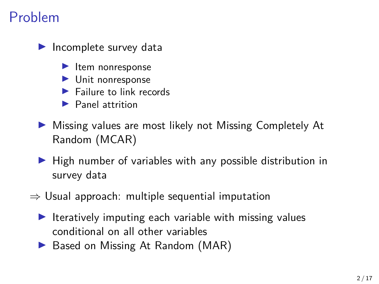## Problem

 $\blacktriangleright$  Incomplete survey data

- $\blacktriangleright$  Item nonresponse
- $\blacktriangleright$  Unit nonresponse
- $\blacktriangleright$  Failure to link records
- $\blacktriangleright$  Panel attrition
- ▶ Missing values are most likely not Missing Completely At Random (MCAR)
- $\blacktriangleright$  High number of variables with any possible distribution in survey data
- $\Rightarrow$  Usual approach: multiple sequential imputation
	- $\blacktriangleright$  Iteratively imputing each variable with missing values conditional on all other variables
	- ▶ Based on Missing At Random (MAR)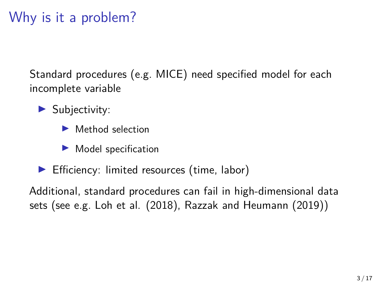## Why is it a problem?

Standard procedures (e.g. MICE) need specified model for each incomplete variable

- $\blacktriangleright$  Subjectivity:
	- $\blacktriangleright$  Method selection
	- $\blacktriangleright$  Model specification
- $\blacktriangleright$  Efficiency: limited resources (time, labor)

Additional, standard procedures can fail in high-dimensional data sets (see e.g. Loh et al. (2018), Razzak and Heumann (2019))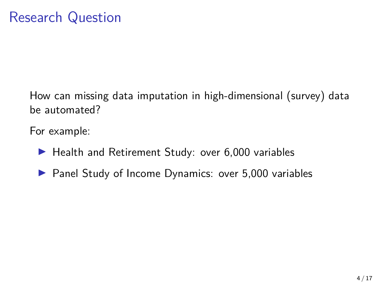How can missing data imputation in high-dimensional (survey) data be automated?

For example:

- $\blacktriangleright$  Health and Retirement Study: over 6,000 variables
- $\blacktriangleright$  Panel Study of Income Dynamics: over 5,000 variables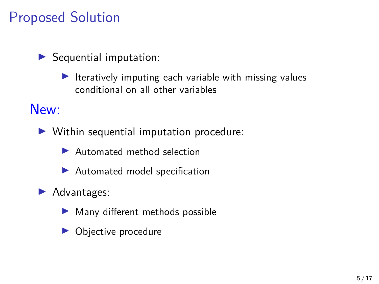# Proposed Solution

 $\blacktriangleright$  Sequential imputation:

 $\blacktriangleright$  Iteratively imputing each variable with missing values conditional on all other variables

New:

- $\triangleright$  Within sequential imputation procedure:
	- $\blacktriangleright$  Automated method selection
	- $\blacktriangleright$  Automated model specification
- Advantages:
	- $\blacktriangleright$  Many different methods possible
	- Objective procedure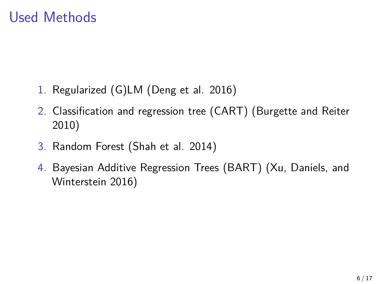## Used Methods

- 1. Regularized (G)LM (Deng et al. 2016)
- 2. Classification and regression tree (CART) (Burgette and Reiter 2010)
- 3. Random Forest (Shah et al. 2014)
- 4. Bayesian Additive Regression Trees (BART) (Xu, Daniels, and Winterstein 2016)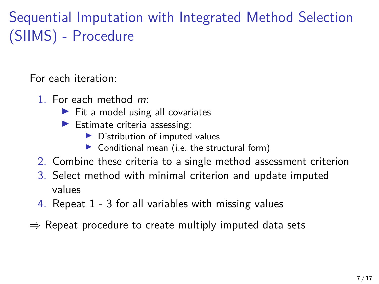# Sequential Imputation with Integrated Method Selection (SIIMS) - Procedure

For each iteration:

- 1. For each method m:
	- $\blacktriangleright$  Fit a model using all covariates
	- $\blacktriangleright$  Estimate criteria assessing:
		- $\triangleright$  Distribution of imputed values
		- $\triangleright$  Conditional mean (i.e. the structural form)
- 2. Combine these criteria to a single method assessment criterion
- 3. Select method with minimal criterion and update imputed values
- 4. Repeat 1 3 for all variables with missing values
- $\Rightarrow$  Repeat procedure to create multiply imputed data sets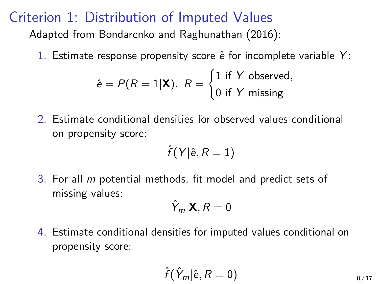#### Criterion 1: Distribution of Imputed Values

Adapted from Bondarenko and Raghunathan (2016):

1. Estimate response propensity score  $\hat{e}$  for incomplete variable Y:

$$
\hat{e} = P(R = 1|\mathbf{X}), R = \begin{cases} 1 \text{ if } Y \text{ observed,} \\ 0 \text{ if } Y \text{ missing} \end{cases}
$$

2. Estimate conditional densities for observed values conditional on propensity score:

$$
\hat{f}(Y|\hat{\textbf{e}}, R=1)
$$

3. For all m potential methods, fit model and predict sets of missing values:

$$
\hat{Y}_m|\mathbf{X}, R=0
$$

4. Estimate conditional densities for imputed values conditional on propensity score:

$$
\hat{f}(\hat{Y}_m | \hat{e}, R = 0)
$$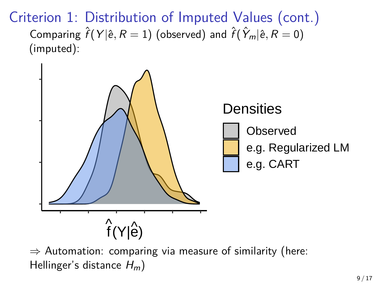Criterion 1: Distribution of Imputed Values (cont.) Comparing  $\hat{f}(Y | \hat{e}, R = 1)$  (observed) and  $\hat{f}(\hat{Y}_m | \hat{e}, R = 0)$ (imputed):



 $\Rightarrow$  Automation: comparing via measure of similarity (here: Hellinger's distance  $H_m$ )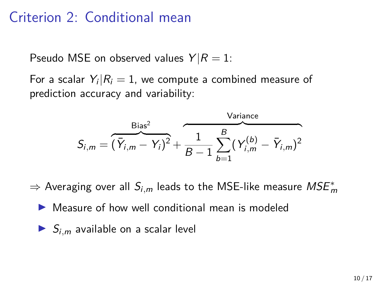### Criterion 2: Conditional mean

Pseudo MSE on observed values  $Y/R = 1$ :

For a scalar  $\left. Y_{i} \right| \mathcal{R}_{i} = 1,$  we compute a combined measure of prediction accuracy and variability:

$$
S_{i,m} = \overbrace{(\bar{Y}_{i,m} - Y_i)^2}^{\text{Bias}^2} + \overbrace{1 \frac{1}{B-1} \sum_{b=1}^{B} (Y_{i,m}^{(b)} - \bar{Y}_{i,m})^2}^{\text{Variance}}
$$

 $\Rightarrow$  Averaging over all  $S_{i,m}$  leads to the MSE-like measure  $MSE^*_{m}$ 

- $\triangleright$  Measure of how well conditional mean is modeled
- $S_{i,m}$  available on a scalar level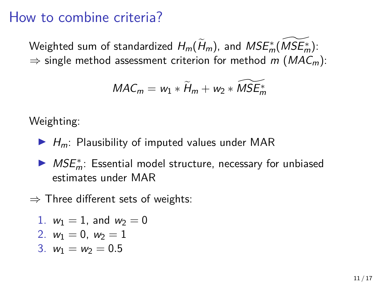#### How to combine criteria?

Weighted sum of standardized  $H_m(\widetilde{H}_m)$ , and  $MSE^*_m(\widetilde{MSE^*_m})$ :  $\Rightarrow$  single method assessment criterion for method m (MAC<sub>m</sub>):

$$
MAC_m = w_1 * \widetilde{H}_m + w_2 * \widetilde{MSE}_m^*
$$

Weighting:

- $\blacktriangleright$  H<sub>m</sub>: Plausibility of imputed values under MAR
- $\blacktriangleright$   $MSE_m^*$ : Essential model structure, necessary for unbiased estimates under MAR
- $\Rightarrow$  Three different sets of weights:

1. 
$$
w_1 = 1
$$
, and  $w_2 = 0$ 

2. 
$$
w_1 = 0
$$
,  $w_2 = 1$ 

$$
3. \, w_1 = w_2 = 0.5
$$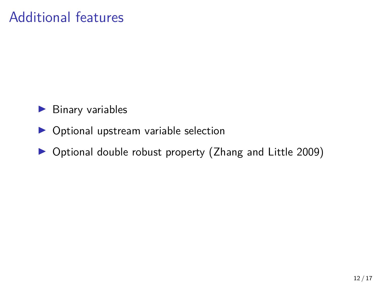## Additional features

- $\blacktriangleright$  Binary variables
- $\triangleright$  Optional upstream variable selection
- ▶ Optional double robust property (Zhang and Little 2009)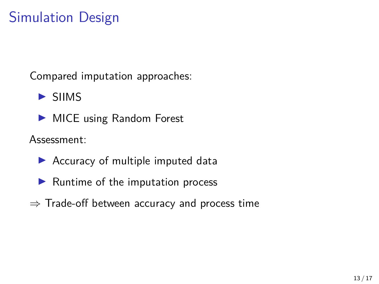# Simulation Design

Compared imputation approaches:

 $\blacktriangleright$  SIIMS

 $\blacktriangleright$  MICE using Random Forest

Assessment:

- $\blacktriangleright$  Accuracy of multiple imputed data
- $\blacktriangleright$  Runtime of the imputation process
- $\Rightarrow$  Trade-off between accuracy and process time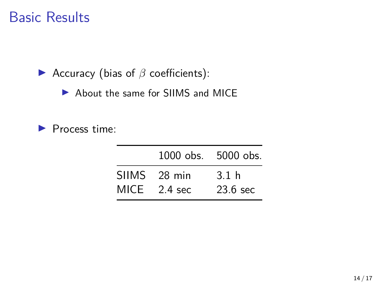### Basic Results

**►** Accuracy (bias of *β* coefficients):

▶ About the same for SIIMS and MICE

 $\blacktriangleright$  Process time:

| 1000 obs. 5000 obs. |            |
|---------------------|------------|
| SIIMS 28 min        | 3.1 h      |
| MICE $2.4$ sec      | $23.6$ sec |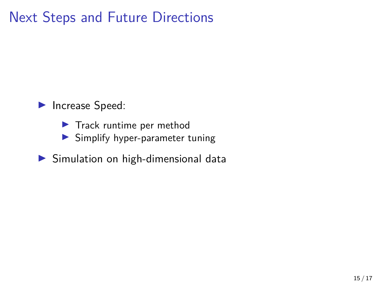## Next Steps and Future Directions

Increase Speed:

- $\blacktriangleright$  Track runtime per method
- $\blacktriangleright$  Simplify hyper-parameter tuning
- $\blacktriangleright$  Simulation on high-dimensional data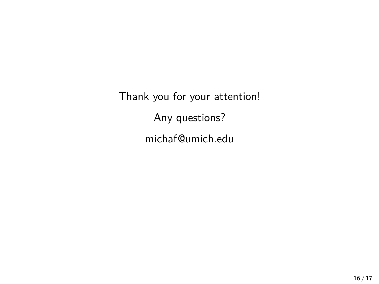Thank you for your attention! Any questions? [michaf@umich.edu](mailto:michaf@umich.edu)